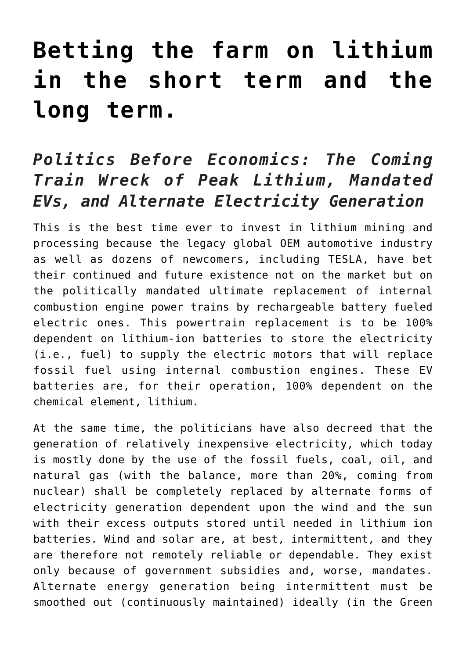## **[Betting the farm on lithium](https://investorintel.com/markets/technology-metals/technology-metals-intel/the-coming-train-wreck-of-peak-lithium-mandated-evs-and-alternate-electricity-generation/) [in the short term and the](https://investorintel.com/markets/technology-metals/technology-metals-intel/the-coming-train-wreck-of-peak-lithium-mandated-evs-and-alternate-electricity-generation/) [long term.](https://investorintel.com/markets/technology-metals/technology-metals-intel/the-coming-train-wreck-of-peak-lithium-mandated-evs-and-alternate-electricity-generation/)**

## *Politics Before Economics: The Coming Train Wreck of Peak Lithium, Mandated EVs, and Alternate Electricity Generation*

This is the best time ever to invest in lithium mining and processing because the legacy global OEM automotive industry as well as dozens of newcomers, including TESLA, have bet their continued and future existence not on the market but on the politically mandated ultimate replacement of internal combustion engine power trains by rechargeable battery fueled electric ones. This powertrain replacement is to be 100% dependent on lithium-ion batteries to store the electricity (i.e., fuel) to supply the electric motors that will replace fossil fuel using internal combustion engines. These EV batteries are, for their operation, 100% dependent on the chemical element, lithium.

At the same time, the politicians have also decreed that the generation of relatively inexpensive electricity, which today is mostly done by the use of the fossil fuels, coal, oil, and natural gas (with the balance, more than 20%, coming from nuclear) shall be completely replaced by alternate forms of electricity generation dependent upon the wind and the sun with their excess outputs stored until needed in lithium ion batteries. Wind and solar are, at best, intermittent, and they are therefore not remotely reliable or dependable. They exist only because of government subsidies and, worse, mandates. Alternate energy generation being intermittent must be smoothed out (continuously maintained) ideally (in the Green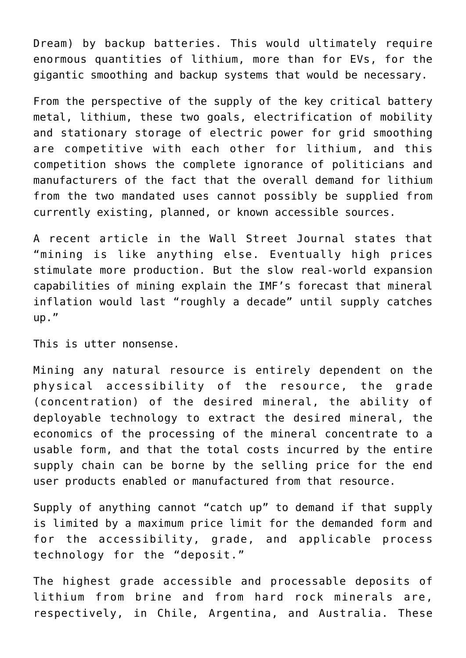Dream) by backup batteries. This would ultimately require enormous quantities of lithium, more than for EVs, for the gigantic smoothing and backup systems that would be necessary.

From the perspective of the supply of the key critical battery metal, lithium, these two goals, electrification of mobility and stationary storage of electric power for grid smoothing are competitive with each other for lithium, and this competition shows the complete ignorance of politicians and manufacturers of the fact that the overall demand for lithium from the two mandated uses [cannot possibly be supplied](https://investorintel.com/market-analysis/market-analysis-intel/squeezing-the-juice-out-of-the-idea-that-endless-cash-will-somehow-make-more-battery-materials-appear/) from currently existing, planned, or known accessible sources.

A recent article in the Wall Street Journal states that "mining is like anything else. Eventually high prices stimulate more production. But the slow real-world expansion capabilities of mining explain the IMF's forecast that mineral inflation would last "roughly a decade" until supply catches up."

This is utter nonsense.

Mining any natural resource is entirely dependent on the physical accessibility of the resource, the grade (concentration) of the desired mineral, the ability of deployable technology to extract the desired mineral, the economics of the processing of the mineral concentrate to a usable form, and that the total costs incurred by the entire supply chain can be borne by the selling price for the end user products enabled or manufactured from that resource.

Supply of anything cannot "catch up" to demand if that supply is limited by a maximum price limit for the demanded form and for the accessibility, grade, and applicable process technology for the "deposit."

The highest grade accessible and processable deposits of lithium from brine and from hard rock minerals are, respectively, in Chile, Argentina, and Australia. These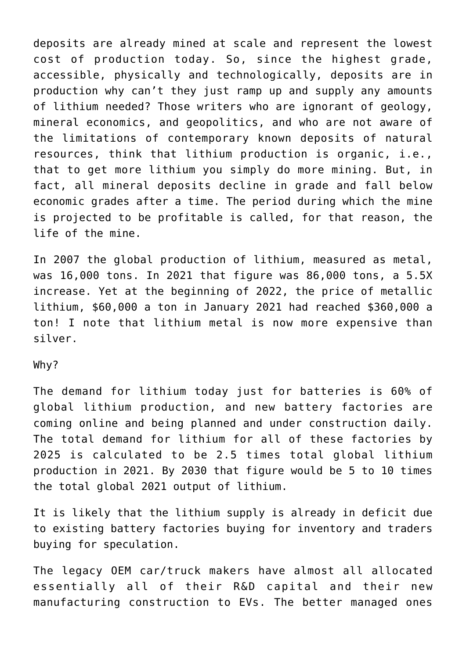deposits are already mined at scale and represent the lowest cost of production today. So, since the highest grade, accessible, physically and technologically, deposits are in production why can't they just ramp up and supply any amounts of lithium needed? Those writers who are ignorant of geology, mineral economics, and geopolitics, and who are not aware of the limitations of contemporary known deposits of natural resources, think that lithium production is organic, i.e., that to get more lithium you simply do more mining. But, in fact, all mineral deposits decline in grade and fall below economic grades after a time. The period during which the mine is projected to be profitable is called, for that reason, the life of the mine.

In 2007 the global production of lithium, measured as metal, was 16,000 tons. In 2021 that figure was 86,000 tons, a 5.5X increase. Yet at the beginning of 2022, the price of metallic lithium, \$60,000 a ton in January 2021 had reached \$360,000 a ton! I note that lithium metal is now more expensive than silver.

## Why?

The demand for lithium today just for batteries is 60% of global lithium production, and new battery factories are coming online and being planned and under construction daily. The total demand for lithium for all of these factories by 2025 is calculated to be 2.5 times total global lithium production in 2021. By 2030 that figure would be 5 to 10 times the total global 2021 output of lithium.

It is likely that the lithium supply is already in deficit due to existing battery factories buying for inventory and traders buying for speculation.

The legacy OEM car/truck makers have almost all allocated essentially all of their R&D capital and their new manufacturing construction to EVs. The better managed ones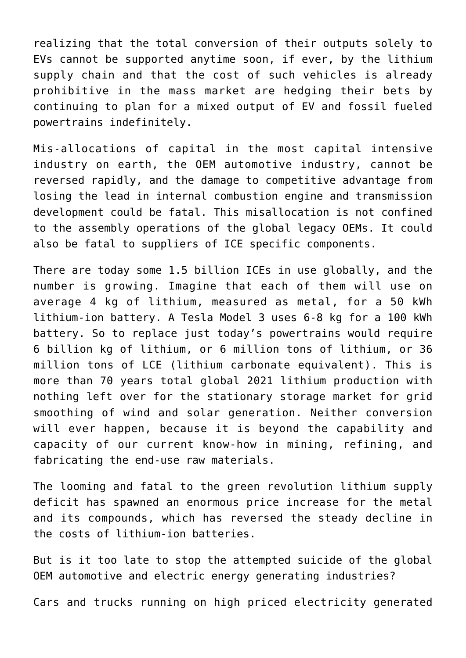realizing that the total conversion of their outputs solely to EVs cannot be supported anytime soon, if ever, by the lithium supply chain and that the cost of such vehicles is already prohibitive in the mass market are hedging their bets by continuing to plan for a mixed output of EV and fossil fueled powertrains indefinitely.

Mis-allocations of capital in the most capital intensive industry on earth, the OEM automotive industry, cannot be reversed rapidly, and the damage to competitive advantage from losing the lead in internal combustion engine and transmission development could be fatal. This misallocation is not confined to the assembly operations of the global legacy OEMs. It could also be fatal to suppliers of ICE specific components.

There are today some 1.5 billion ICEs in use globally, and the number is growing. Imagine that each of them will use on average 4 kg of lithium, measured as metal, for a 50 kWh lithium-ion battery. A Tesla Model 3 uses 6-8 kg for a 100 kWh battery. So to replace just today's powertrains would require 6 billion kg of lithium, or 6 million tons of lithium, or 36 million tons of LCE (lithium carbonate equivalent). This is more than 70 years total global 2021 lithium production with nothing left over for the stationary storage market for grid smoothing of wind and solar generation. Neither conversion will ever happen, because it is beyond the capability and capacity of our current know-how in mining, refining, and fabricating the end-use raw materials.

The looming and fatal to the green revolution lithium supply deficit has spawned an enormous price increase for the metal and its compounds, which has reversed the steady decline in the costs of lithium-ion batteries.

But is it too late to stop the attempted suicide of the global OEM automotive and electric energy generating industries?

Cars and trucks running on high priced electricity generated